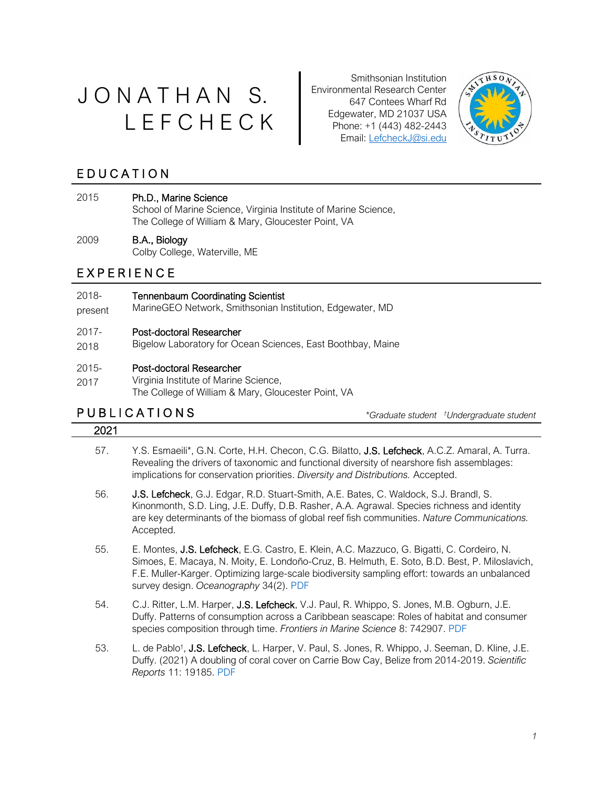# J O N A T H A N S. L E F C H E C K

Smithsonian Institution Environmental Research Center 647 Contees Wharf Rd Edgewater, MD 21037 USA Phone: +1 (443) 482-2443 Email: LefcheckJ@si.edu



# E D U C A T I O N

### 2015 Ph.D., Marine Science

School of Marine Science, Virginia Institute of Marine Science, The College of William & Mary, Gloucester Point, VA

### 2009 B.A., Biology

Colby College, Waterville, ME

# E X P E R I E N C E

#### 2018- Tennenbaum Coordinating Scientist

present MarineGEO Network, Smithsonian Institution, Edgewater, MD

#### 2017- Post-doctoral Researcher

2018 Bigelow Laboratory for Ocean Sciences, East Boothbay, Maine

#### 2015- Post-doctoral Researcher

2017 Virginia Institute of Marine Science, The College of William & Mary, Gloucester Point, VA

# P U B L I C A T I O N S *\*Graduate student*

*†Undergraduate student* 

- 57. Y.S. Esmaeili\*, G.N. Corte, H.H. Checon, C.G. Bilatto, J.S. Lefcheck, A.C.Z. Amaral, A. Turra. Revealing the drivers of taxonomic and functional diversity of nearshore fish assemblages: implications for conservation priorities. *Diversity and Distributions.* Accepted.
- 56. J.S. Lefcheck, G.J. Edgar, R.D. Stuart-Smith, A.E. Bates, C. Waldock, S.J. Brandl, S. Kinonmonth, S.D. Ling, J.E. Duffy, D.B. Rasher, A.A. Agrawal. Species richness and identity are key determinants of the biomass of global reef fish communities. *Nature Communications.* Accepted.
- 55. E. Montes, J.S. Lefcheck, E.G. Castro, E. Klein, A.C. Mazzuco, G. Bigatti, C. Cordeiro, N. Simoes, E. Macaya, N. Moity, E. Londoño-Cruz, B. Helmuth, E. Soto, B.D. Best, P. Miloslavich, F.E. Muller-Karger. Optimizing large-scale biodiversity sampling effort: towards an unbalanced survey design. *Oceanography* 34(2). [PDF](https://doi.org/10.5670/oceanog.2021.216)
- 54. C.J. Ritter, L.M. Harper, J.S. Lefcheck, V.J. Paul, R. Whippo, S. Jones, M.B. Ogburn, J.E. Duffy. Patterns of consumption across a Caribbean seascape: Roles of habitat and consumer species composition through time. *Frontiers in Marine Science* 8: 742907. [PDF](https://doi.org/10.3389/fmars.2021.742907)
- 53. L. de Pablo<sup>†</sup>, J.S. Lefcheck, L. Harper, V. Paul, S. Jones, R. Whippo, J. Seeman, D. Kline, J.E. Duffy. (2021) A doubling of coral cover on Carrie Bow Cay, Belize from 2014-2019. *Scientific Reports* 11: 19185. [PDF](https://doi.org/10.1038/s41598-021-96799-2)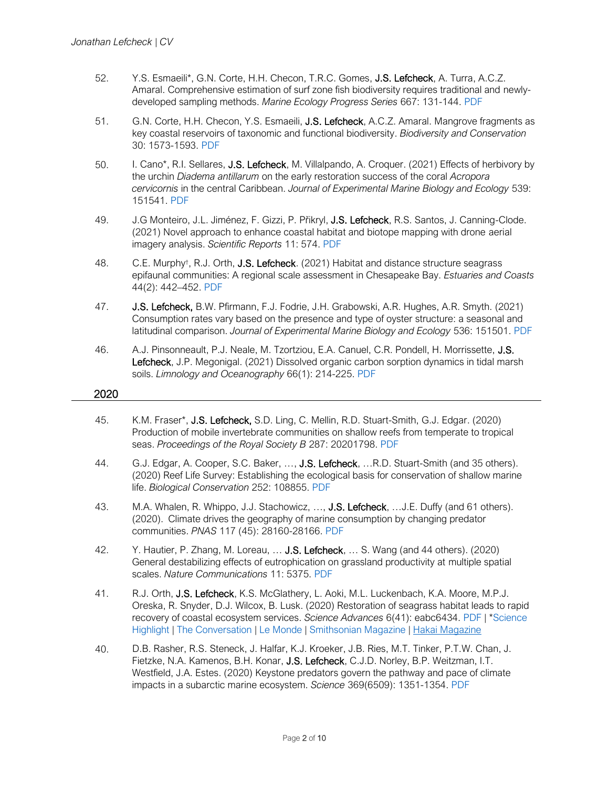- 52. Y.S. Esmaeili\*, G.N. Corte, H.H. Checon, T.R.C. Gomes, J.S. Lefcheck, A. Turra, A.C.Z. Amaral. Comprehensive estimation of surf zone fish biodiversity requires traditional and newlydeveloped sampling methods. *Marine Ecology Progress Series* 667: 131-144. [PDF](https://doi.org/10.3354/meps13711)
- 51. G.N. Corte, H.H. Checon, Y.S. Esmaeili, J.S. Lefcheck, A.C.Z. Amaral. Mangrove fragments as key coastal reservoirs of taxonomic and functional biodiversity. *Biodiversity and Conservation*  30: 1573-1593. [PDF](https://doi.org/10.1007/s10531-021-02158-y)
- 50. I. Cano\*, R.I. Sellares, J.S. Lefcheck, M. Villalpando, A. Croquer. (2021) Effects of herbivory by the urchin *Diadema antillarum* on the early restoration success of the coral *Acropora cervicornis* in the central Caribbean. *Journal of Experimental Marine Biology and Ecology* 539: 151541. [PDF](https://doi.org/10.1016/j.jembe.2021.151541)
- 49. J.G Monteiro, J.L. Jiménez, F. Gizzi, P. Přikryl, J.S. Lefcheck, R.S. Santos, J. Canning-Clode. (2021) Novel approach to enhance coastal habitat and biotope mapping with drone aerial imagery analysis. *Scientific Reports* 11: 574. [PDF](https://doi.org/10.1038/s41598-020-80612-7)
- 48. C.E. Murphy<sup>†</sup>, R.J. Orth, **J.S. Lefcheck**. (2021) Habitat and distance structure seagrass epifaunal communities: A regional scale assessment in Chesapeake Bay. *Estuaries and Coasts*  44(2): 442–452. [PDF](https://doi.org/10.1007/s12237-020-00864-4)
- 47. J.S. Lefcheck, B.W. Pfirmann, F.J. Fodrie, J.H. Grabowski, A.R. Hughes, A.R. Smyth. (2021) Consumption rates vary based on the presence and type of oyster structure: a seasonal and latitudinal comparison. *Journal of Experimental Marine Biology and Ecology* 536: 151501. [PDF](https://doi.org/10.1016/j.jembe.2020.151501)
- 46. A.J. Pinsonneault, P.J. Neale, M. Tzortziou, E.A. Canuel, C.R. Pondell, H. Morrissette, J.S. Lefcheck, J.P. Megonigal. (2021) Dissolved organic carbon sorption dynamics in tidal marsh soils. *Limnology and Oceanography* 66(1): 214-225. [PDF](https://dx.doi.org/10.1002/lno.11598)

- 45. K.M. Fraser\*, J.S. Lefcheck, S.D. Ling, C. Mellin, R.D. Stuart-Smith, G.J. Edgar. (2020) Production of mobile invertebrate communities on shallow reefs from temperate to tropical seas. *Proceedings of the Royal Society B* 287: 20201798. [PDF](https://doi.org/10.1098/rspb.2020.1798)
- 44. G.J. Edgar, A. Cooper, S.C. Baker, ..., **J.S. Lefcheck**, ...R.D. Stuart-Smith (and 35 others). (2020) Reef Life Survey: Establishing the ecological basis for conservation of shallow marine life. *Biological Conservation* 252: 108855. [PDF](https://dx.doi.org/10.1016/j.biocon.2020.108855)
- 43. M.A. Whalen, R. Whippo, J.J. Stachowicz, ..., **J.S. Lefcheck**, ... J.E. Duffy (and 61 others). (2020). Climate drives the geography of marine consumption by changing predator communities. *PNAS* 117 (45): 28160-28166. [PDF](https://dx.doi.org/10.1073/pnas.2005255117)
- 42. Y. Hautier, P. Zhang, M. Loreau, ... J.S. Lefcheck, ... S. Wang (and 44 others). (2020) General destabilizing effects of eutrophication on grassland productivity at multiple spatial scales. *Nature Communications* 11: 5375. [PDF](https://dx.doi.org/10.1038/s41467-020-19252-4)
- 41. R.J. Orth, J.S. Lefcheck, K.S. McGlathery, L. Aoki, M.L. Luckenbach, K.A. Moore, M.P.J. Oreska, R. Snyder, D.J. Wilcox, B. Lusk. (2020) Restoration of seagrass habitat leads to rapid recovery of coastal ecosystem services. *Science Advances* 6(41): eabc6434. [PDF](https://dx.doi.org/10.1126/sciadv.abc6434) | [\\*Science](https://science.sciencemag.org/content/370/6513/182.6)  [Highlight](https://science.sciencemag.org/content/370/6513/182.6) | [The Conversation](https://theconversation.com/restoring-seagrasses-can-bring-coastal-bays-back-to-life-147798) | [Le Monde](https://www.lemonde.fr/sciences/article/2020/11/18/a-la-rescousse-des-prairies-sous-marines-de-la-cote-est-des-etats-unis-a-la-mediterranee_6060241_1650684.html) | [Smithsonian Magazine](https://www.smithsonianmag.com/science-nature/seagrass-ocean-secret-weapon-climate-change-180976235/) | [Hakai Magazine](https://www.hakaimagazine.com/news/the-grass-is-greener-in-virginia/)
- 40. D.B. Rasher, R.S. Steneck, J. Halfar, K.J. Kroeker, J.B. Ries, M.T. Tinker, P.T.W. Chan, J. Fietzke, N.A. Kamenos, B.H. Konar, J.S. Lefcheck, C.J.D. Norley, B.P. Weitzman, I.T. Westfield, J.A. Estes. (2020) Keystone predators govern the pathway and pace of climate impacts in a subarctic marine ecosystem. *Science* 369(6509): 1351-1354. [PDF](https://dx.doi.org/10.1126/science.aav7515)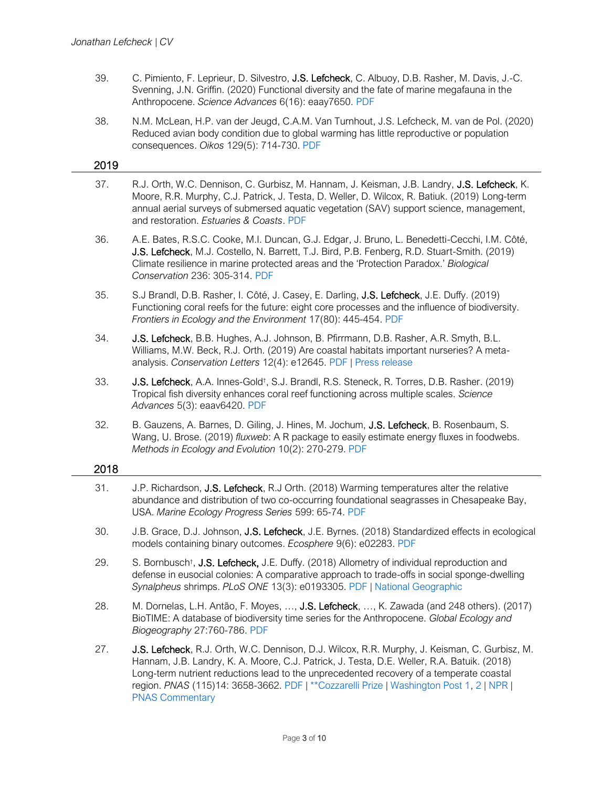- 39. C. Pimiento, F. Leprieur, D. Silvestro, J.S. Lefcheck, C. Albuoy, D.B. Rasher, M. Davis, J.-C. Svenning, J.N. Griffin. (2020) Functional diversity and the fate of marine megafauna in the Anthropocene. *Science Advances* 6(16): eaay7650. [PDF](https://dx.doi.org/10.1126/sciadv.aay7650)
- 38. N.M. McLean, H.P. van der Jeugd, C.A.M. Van Turnhout, J.S. Lefcheck, M. van de Pol. (2020) Reduced avian body condition due to global warming has little reproductive or population consequences. *Oikos* 129(5): 714-730. [PDF](https://doi.org/10.1111/oik.06802)

#### 2019

- 37. R.J. Orth, W.C. Dennison, C. Gurbisz, M. Hannam, J. Keisman, J.B. Landry, J.S. Lefcheck, K. Moore, R.R. Murphy, C.J. Patrick, J. Testa, D. Weller, D. Wilcox, R. Batiuk. (2019) Long-term annual aerial surveys of submersed aquatic vegetation (SAV) support science, management, and restoration. *Estuaries & Coasts*. [PDF](https://doi.org/10.1007/s12237-019-00651-w)
- 36. A.E. Bates, R.S.C. Cooke, M.I. Duncan, G.J. Edgar, J. Bruno, L. Benedetti-Cecchi, I.M. Côté, J.S. Lefcheck, M.J. Costello, N. Barrett, T.J. Bird, P.B. Fenberg, R.D. Stuart-Smith. (2019) Climate resilience in marine protected areas and the 'Protection Paradox.' *Biological Conservation* 236: 305-314. [PDF](https://doi.org/10.1016/j.biocon.2019.05.005)
- 35. S.J Brandl, D.B. Rasher, I. Côté, J. Casey, E. Darling, J.S. Lefcheck, J.E. Duffy. (2019) Functioning coral reefs for the future: eight core processes and the influence of biodiversity. *Frontiers in Ecology and the Environment* 17(80): 445-454. [PDF](https://doi.org/10.1002/fee.2088)
- 34. J.S. Lefcheck, B.B. Hughes, A.J. Johnson, B. Pfirrmann, D.B. Rasher, A.R. Smyth, B.L. Williams, M.W. Beck, R.J. Orth. (2019) Are coastal habitats important nurseries? A metaanalysis. *Conservation Letters* 12(4): e12645. [PDF](https://doi.org/10.1111/conl.12645) | [Press release](https://www.vims.edu/newsandevents/topstories/2019/nursery_value.php)
- 33. **J.S. Lefcheck**, A.A. Innes-Gold<sup>†</sup>, S.J. Brandl, R.S. Steneck, R. Torres, D.B. Rasher. (2019) Tropical fish diversity enhances coral reef functioning across multiple scales. *Science Advances* 5(3): eaav6420. [PDF](http://dx.doi.org/10.1126/sciadv.aav6420)
- 32. B. Gauzens, A. Barnes, D. Giling, J. Hines, M. Jochum, J.S. Lefcheck, B. Rosenbaum, S. Wang, U. Brose. (2019) *fluxweb*: A R package to easily estimate energy fluxes in foodwebs. *Methods in Ecology and Evolution* 10(2): 270-279. [PDF](https://doi.org/10.1111/2041-210X.13109)

- 31. J.P. Richardson, J.S. Lefcheck, R.J Orth. (2018) Warming temperatures alter the relative abundance and distribution of two co-occurring foundational seagrasses in Chesapeake Bay, USA. *Marine Ecology Progress Series* 599: 65-74. [PDF](https://doi.org/10.3354/meps12620)
- 30. J.B. Grace, D.J. Johnson, J.S. Lefcheck, J.E. Byrnes. (2018) Standardized effects in ecological models containing binary outcomes. *Ecosphere* 9(6): e02283. [PDF](https://doi.org/10.1002/ecs2.2283)
- 29. S. Bornbusch<sup>†</sup>, J.S. Lefcheck, J.E. Duffy. (2018) Allometry of individual reproduction and defense in eusocial colonies: A comparative approach to trade-offs in social sponge-dwelling *Synalpheus* shrimps. *PLoS ONE* 13(3): e0193305. [PDF](https://doi.org/10.1371/journal.pone.0193305) | [National Geographic](https://news.nationalgeographic.com/2018/03/animals-shrimp-oceans-queens-evolution/)
- 28. M. Dornelas, L.H. Antão, F. Moyes, ..., J.S. Lefcheck, ..., K. Zawada (and 248 others). (2017) BioTIME: A database of biodiversity time series for the Anthropocene. *Global Ecology and Biogeography* 27:760-786. [PDF](http://dx.doi.org/10.1111/geb.12729)
- 27. J.S. Lefcheck, R.J. Orth, W.C. Dennison, D.J. Wilcox, R.R. Murphy, J. Keisman, C. Gurbisz, M. Hannam, J.B. Landry, K. A. Moore, C.J. Patrick, J. Testa, D.E. Weller, R.A. Batuik. (2018) Long-term nutrient reductions lead to the unprecedented recovery of a temperate coastal region. *PNAS* (115)14: 3658-3662. [PDF](https://doi.org/10.1073/pnas.1715798115) | [\\*\\*Cozzarelli Prize](http://www.nasonline.org/news-and-multimedia/news/pnas-cozzarelli-2018.html) | [Washington Post 1,](https://www.washingtonpost.com/news/energy-environment/wp/2018/03/05/the-chesapeakes-secret-garden-is-thriving-again-but-trump-could-end-that/?utm_term=.d95f3c53717b) [2](https://www.washingtonpost.com/opinions/why-the-chesapeake-bay-is-best-in-the-world/2018/03/07/345dc8be-217c-11e8-badd-7c9f29a55815_story.html?utm_term=.ca8fe72c3b02) | [NPR](https://www.npr.org/sections/thesalt/2018/03/05/590347724/grass-is-back-in-the-chesapeake-and-crabs-will-follow) | [PNAS Commentary](http://www.pnas.org/content/115/14/3518)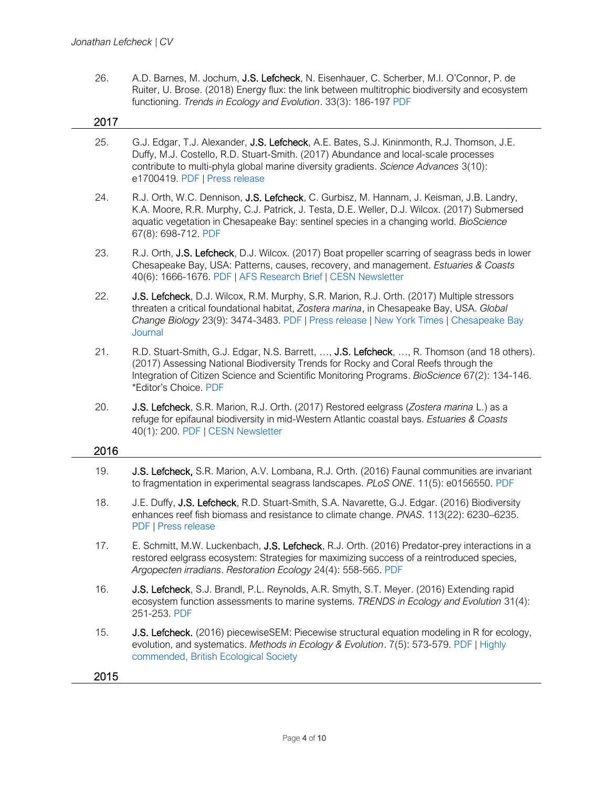26. A.D. Barnes, M. Jochum, J.S. Lefcheck, N. Eisenhauer, C. Scherber, M.I. O'Connor, P. de Ruiter, U. Brose. (2018) Energy flux: the link between multitrophic biodiversity and ecosystem functioning. *Trends in Ecology and Evolution*. 33(3): 186-197 [PDF](http://dx.doi.org/10.1016/j.tree.2017.12.007)

| 2017 |                                                                                                                                                                                                                                                                                                              |
|------|--------------------------------------------------------------------------------------------------------------------------------------------------------------------------------------------------------------------------------------------------------------------------------------------------------------|
| 25.  | G.J. Edgar, T.J. Alexander, J.S. Lefcheck, A.E. Bates, S.J. Kininmonth, R.J. Thomson, J.E.<br>Duffy, M.J. Costello, R.D. Stuart-Smith. (2017) Abundance and local-scale processes<br>contribute to multi-phyla global marine diversity gradients. Science Advances 3(10):<br>e1700419. PDF   Press release   |
| 24.  | R.J. Orth, W.C. Dennison, J.S. Lefcheck, C. Gurbisz, M. Hannam, J. Keisman, J.B. Landry,<br>K.A. Moore, R.R. Murphy, C.J. Patrick, J. Testa, D.E. Weller, D.J. Wilcox. (2017) Submersed<br>aquatic vegetation in Chesapeake Bay: sentinel species in a changing world. BioScience<br>67(8): 698-712. PDF     |
| 23.  | R.J. Orth, J.S. Lefcheck, D.J. Wilcox. (2017) Boat propeller scarring of seagrass beds in lower<br>Chesapeake Bay, USA: Patterns, causes, recovery, and management. Estuaries & Coasts<br>40(6): 1666-1676. PDF   AFS Research Brief   CESN Newsletter                                                       |
| 22.  | J.S. Lefcheck, D.J. Wilcox, R.M. Murphy, S.R. Marion, R.J. Orth. (2017) Multiple stressors<br>threaten a critical foundational habitat, Zostera marina, in Chesapeake Bay, USA. Global<br>Change Biology 23(9): 3474-3483. PDF   Press release   New York Times   Chesapeake Bay<br>Journal                  |
| 21.  | R.D. Stuart-Smith, G.J. Edgar, N.S. Barrett, , J.S. Lefcheck, , R. Thomson (and 18 others).<br>(2017) Assessing National Biodiversity Trends for Rocky and Coral Reefs through the<br>Integration of Citizen Science and Scientific Monitoring Programs. BioScience 67(2): 134-146.<br>*Editor's Choice. PDF |
| 20.  | J.S. Lefcheck, S.R. Marion, R.J. Orth. (2017) Restored eelgrass (Zostera marina L.) as a<br>refuge for epifaunal biodiversity in mid-Western Atlantic coastal bays. Estuaries & Coasts<br>40(1): 200. PDF   CESN Newsletter                                                                                  |
| 2016 |                                                                                                                                                                                                                                                                                                              |
| 19.  | J.S. Lefcheck, S.R. Marion, A.V. Lombana, R.J. Orth. (2016) Faunal communities are invariant<br>to fragmentation in experimental seagrass landscapes. PLoS ONE. 11(5): e0156550. PDF                                                                                                                         |
| 18.  | J.E. Duffy, J.S. Lefcheck, R.D. Stuart-Smith, S.A. Navarette, G.J. Edgar. (2016) Biodiversity<br>enhances reef fish biomass and resistance to climate change. PNAS. 113(22): 6230-6235.<br>PDF   Press release                                                                                               |
| 17.  | E. Schmitt, M.W. Luckenbach, J.S. Lefcheck, R.J. Orth. (2016) Predator-prey interactions in a<br>restored eelgrass ecosystem: Strategies for maximizing success of a reintroduced species,<br>Argopecten irradians. Restoration Ecology 24(4): 558-565. PDF                                                  |
| 16.  | J.S. Lefcheck, S.J. Brandl, P.L. Reynolds, A.R. Smyth, S.T. Meyer. (2016) Extending rapid<br>ecosystem function assessments to marine systems. TRENDS in Ecology and Evolution 31(4):<br>251-253. PDF                                                                                                        |
| 15.  | J.S. Lefcheck. (2016) piecewiseSEM: Piecewise structural equation modeling in R for ecology,<br>evolution, and systematics. Methods in Ecology & Evolution. 7(5): 573-579. PDF   Highly<br>commended, British Ecological Society                                                                             |
|      |                                                                                                                                                                                                                                                                                                              |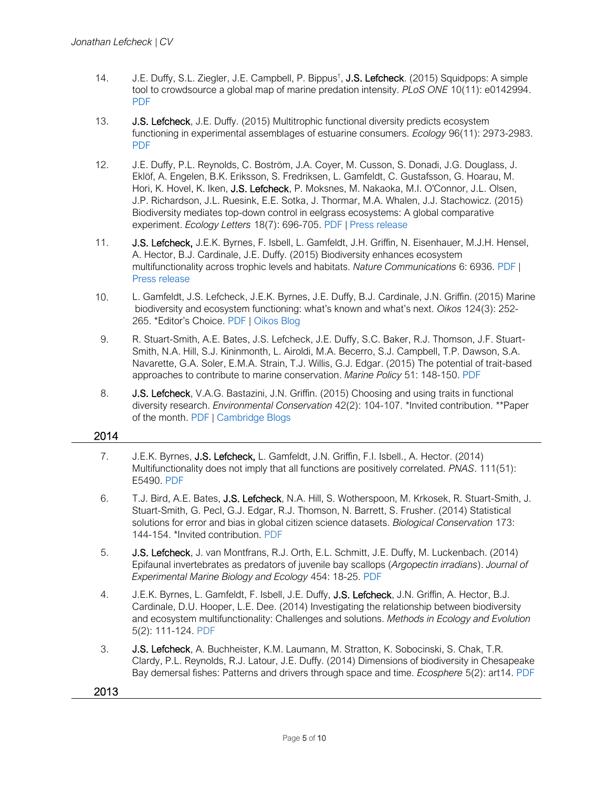- 14. J.E. Duffy, S.L. Ziegler, J.E. Campbell, P. Bippus<sup>†</sup>, **J.S. Lefcheck**. (2015) Squidpops: A simple tool to crowdsource a global map of marine predation intensity. *PLoS ONE* 10(11): e0142994. [PDF](http://dx.doi.org/10.1371/journal.pone.0142994)
- 13. **J.S. Lefcheck**, J.E. Duffy. (2015) Multitrophic functional diversity predicts ecosystem functioning in experimental assemblages of estuarine consumers. *Ecology* 96(11): 2973-2983. [PDF](http://www.esajournals.org/doi/pdf/10.1890/14-1977.1)
- 12. J.E. Duffy, P.L. Reynolds, C. Boström, J.A. Coyer, M. Cusson, S. Donadi, J.G. Douglass, J. Eklöf, A. Engelen, B.K. Eriksson, S. Fredriksen, L. Gamfeldt, C. Gustafsson, G. Hoarau, M. Hori, K. Hovel, K. Iken, J.S. Lefcheck, P. Moksnes, M. Nakaoka, M.I. O'Connor, J.L. Olsen, J.P. Richardson, J.L. Ruesink, E.E. Sotka, J. Thormar, M.A. Whalen, J.J. Stachowicz. (2015) Biodiversity mediates top-down control in eelgrass ecosystems: A global comparative experiment. *Ecology Letters* 18(7): 696-705. [PDF](http://dx.doi.org/10.1111/ele.12448) | [Press release](http://www.vims.edu/newsandevents/topstories/zen_diversity.php)
- 11. J.S. Lefcheck, J.E.K. Byrnes, F. Isbell, L. Gamfeldt, J.H. Griffin, N. Eisenhauer, M.J.H. Hensel, A. Hector, B.J. Cardinale, J.E. Duffy. (2015) Biodiversity enhances ecosystem multifunctionality across trophic levels and habitats. *Nature Communications* 6: 6936. [PDF](http://www.nature.com/ncomms/2015/150424/ncomms7936/full/ncomms7936.html) | [Press release](http://www.vims.edu/newsandevents/topstories/multidiversity.php)
- 10. L. Gamfeldt, J.S. Lefcheck, J.E.K. Byrnes, J.E. Duffy, B.J. Cardinale, J.N. Griffin. (2015) Marine biodiversity and ecosystem functioning: what's known and what's next. *Oikos* 124(3): 252- 265. \*Editor's Choice. [PDF](http://dx.doi.org/10.1111/oik.01549) | [Oikos Blog](http://www.oikosjournal.org/blog/marine-biodiversity-and-ecosystem-functioning-whats-known-and-whats-next)
- 9. R. Stuart-Smith, A.E. Bates, J.S. Lefcheck, J.E. Duffy, S.C. Baker, R.J. Thomson, J.F. Stuart-Smith, N.A. Hill, S.J. Kininmonth, L. Airoldi, M.A. Becerro, S.J. Campbell, T.P. Dawson, S.A. Navarette, G.A. Soler, E.M.A. Strain, T.J. Willis, G.J. Edgar. (2015) The potential of trait-based approaches to contribute to marine conservation. *Marine Policy* 51: 148-150. [PDF](http://dx.doi.org/10.1016/j.marpol.2014.07.002)
- 8. **J.S. Lefcheck,** V.A.G. Bastazini, J.N. Griffin. (2015) Choosing and using traits in functional diversity research. *Environmental Conservation* 42(2): 104-107. \*Invited contribution. \*\*Paper of the month. [PDF](http://dx.doi.org/10.1017/S0376892914000307) | [Cambridge Blogs](http://blog.journals.cambridge.org/2015/06/04/everything-but-the-kitchen-sink-combating-species-extinction-using-multiple-functional-traits/)

- 7. J.E.K. Byrnes, J.S. Lefcheck, L. Gamfeldt, J.N. Griffin, F.I. Isbell., A. Hector. (2014) Multifunctionality does not imply that all functions are positively correlated. *PNAS*. 111(51): E5490. [PDF](http://www.pnas.org/content/111/51/E5490.full)
- 6. T.J. Bird, A.E. Bates, J.S. Lefcheck, N.A. Hill, S. Wotherspoon, M. Krkosek, R. Stuart-Smith, J. Stuart-Smith, G. Pecl, G.J. Edgar, R.J. Thomson, N. Barrett, S. Frusher. (2014) Statistical solutions for error and bias in global citizen science datasets. *Biological Conservation* 173: 144-154. \*Invited contribution. [PDF](http://dx.doi.org/10.1016/j.biocon.2013.07.037)
- 5. J.S. Lefcheck, J. van Montfrans, R.J. Orth, E.L. Schmitt, J.E. Duffy, M. Luckenbach. (2014) Epifaunal invertebrates as predators of juvenile bay scallops (*Argopectin irradians*). *Journal of Experimental Marine Biology and Ecology* 454: 18-25. [PDF](http://dx.doi.org/10.1016/j.jembe.2014.01.014)
- 4. J.E.K. Byrnes, L. Gamfeldt, F. Isbell, J.E. Duffy, J.S. Lefcheck, J.N. Griffin, A. Hector, B.J. Cardinale, D.U. Hooper, L.E. Dee. (2014) Investigating the relationship between biodiversity and ecosystem multifunctionality: Challenges and solutions. *Methods in Ecology and Evolution* 5(2): 111-124. [PDF](http://dx.doi.org/10.1111/2041-210X.12143/)
- 3. J.S. Lefcheck, A. Buchheister, K.M. Laumann, M. Stratton, K. Sobocinski, S. Chak, T.R. Clardy, P.L. Reynolds, R.J. Latour, J.E. Duffy. (2014) Dimensions of biodiversity in Chesapeake Bay demersal fishes: Patterns and drivers through space and time. *Ecosphere* 5(2): art14. [PDF](http://www.esajournals.org/doi/pdf/10.1890/ES13-00284.1)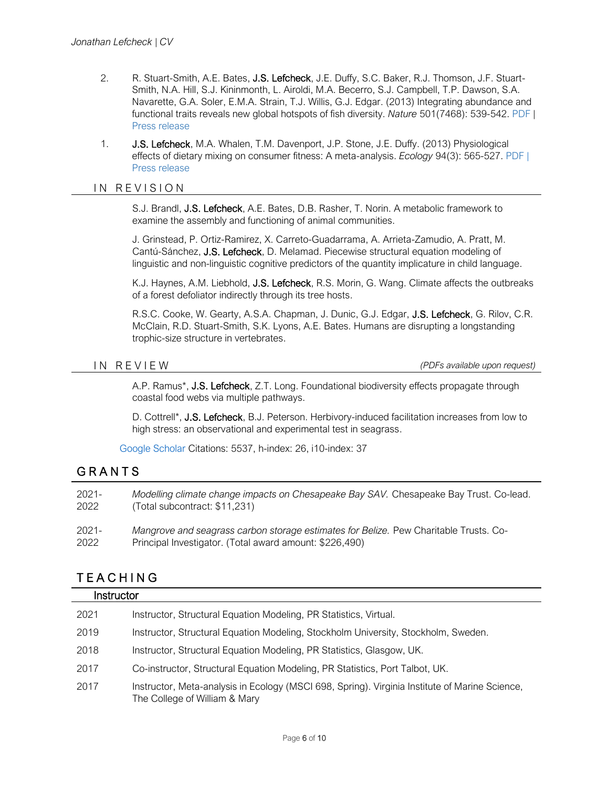- 2. R. Stuart-Smith, A.E. Bates, J.S. Lefcheck, J.E. Duffy, S.C. Baker, R.J. Thomson, J.F. Stuart-Smith, N.A. Hill, S.J. Kininmonth, L. Airoldi, M.A. Becerro, S.J. Campbell, T.P. Dawson, S.A. Navarette, G.A. Soler, E.M.A. Strain, T.J. Willis, G.J. Edgar. (2013) Integrating abundance and functional traits reveals new global hotspots of fish diversity. *Nature* 501(7468): 539-542. [PDF](http://www.nature.com/nature/journal/v501/n7468/pdf/nature12529.pdf) | [Press release](http://www.vims.edu/newsandevents/topstories/functional_diversity.php)
- 1. J.S. Lefcheck, M.A. Whalen, T.M. Davenport, J.P. Stone, J.E. Duffy. (2013) Physiological effects of dietary mixing on consumer fitness: A meta-analysis. *Ecology* 94(3): 565-527. [PDF](http://www.esajournals.org/doi/pdf/10.1890/12-0192.1) | [Press release](http://www.vims.edu/newsandevents/topstories/diet_mixing.php)

### IN REVISION

S.J. Brandl, J.S. Lefcheck, A.E. Bates, D.B. Rasher, T. Norin. A metabolic framework to examine the assembly and functioning of animal communities.

J. Grinstead, P. Ortiz-Ramirez, X. Carreto-Guadarrama, A. Arrieta-Zamudio, A. Pratt, M. Cantú-Sánchez, J.S. Lefcheck, D. Melamad. Piecewise structural equation modeling of linguistic and non-linguistic cognitive predictors of the quantity implicature in child language.

K.J. Haynes, A.M. Liebhold, J.S. Lefcheck, R.S. Morin, G. Wang. Climate affects the outbreaks of a forest defoliator indirectly through its tree hosts.

R.S.C. Cooke, W. Gearty, A.S.A. Chapman, J. Dunic, G.J. Edgar, J.S. Lefcheck, G. Rilov, C.R. McClain, R.D. Stuart-Smith, S.K. Lyons, A.E. Bates. Humans are disrupting a longstanding trophic-size structure in vertebrates.

I N R E V I E W *(PDFs available upon request)*

A.P. Ramus\*, J.S. Lefcheck, Z.T. Long. Foundational biodiversity effects propagate through coastal food webs via multiple pathways.

D. Cottrell\*, **J.S. Lefcheck**, B.J. Peterson. Herbivory-induced facilitation increases from low to high stress: an observational and experimental test in seagrass.

[Google Scholar](https://scholar.google.com/citations?user=wTArpJgAAAAJ&hl=en) Citations: 5537, h-index: 26, i10-index: 37

# **GRANTS**

| $2021 -$ | Modelling climate change impacts on Chesapeake Bay SAV. Chesapeake Bay Trust. Co-lead. |
|----------|----------------------------------------------------------------------------------------|
| 2022     | (Total subcontract: \$11,231)                                                          |
| $2021 -$ | Mangrove and seagrass carbon storage estimates for Belize. Pew Charitable Trusts. Co-  |
| 2022     | Principal Investigator. (Total award amount: \$226,490)                                |

# T E A C H I N G

| Instructor |                                                                                                                                 |  |
|------------|---------------------------------------------------------------------------------------------------------------------------------|--|
| 2021       | Instructor, Structural Equation Modeling, PR Statistics, Virtual.                                                               |  |
| 2019       | Instructor, Structural Equation Modeling, Stockholm University, Stockholm, Sweden.                                              |  |
| 2018       | Instructor, Structural Equation Modeling, PR Statistics, Glasgow, UK.                                                           |  |
| 2017       | Co-instructor, Structural Equation Modeling, PR Statistics, Port Talbot, UK.                                                    |  |
| 2017       | Instructor, Meta-analysis in Ecology (MSCI 698, Spring). Virginia Institute of Marine Science,<br>The College of William & Mary |  |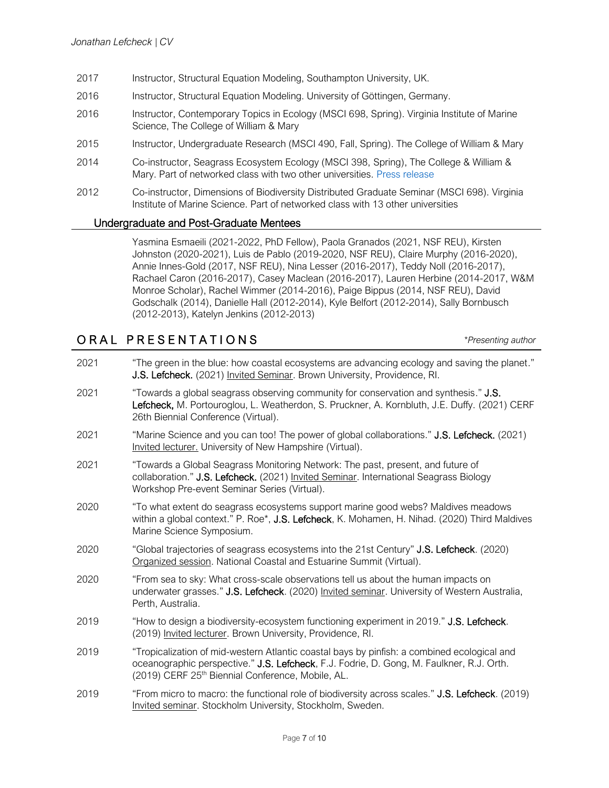- 2017 Instructor, Structural Equation Modeling, Southampton University, UK.
- 2016 Instructor, Structural Equation Modeling. University of Göttingen, Germany.
- 2016 Instructor, Contemporary Topics in Ecology (MSCI 698, Spring). Virginia Institute of Marine Science, The College of William & Mary
- 2015 Instructor, Undergraduate Research (MSCI 490, Fall, Spring). The College of William & Mary
- 2014 Co-instructor, Seagrass Ecosystem Ecology (MSCI 398, Spring), The College & William & Mary. Part of networked class with two other universities. [Press release](http://www.vims.edu/newsandevents/topstories/zenterns.php)
- 2012 Co-instructor, Dimensions of Biodiversity Distributed Graduate Seminar (MSCI 698). Virginia Institute of Marine Science. Part of networked class with 13 other universities

#### Undergraduate and Post-Graduate Mentees

Yasmina Esmaeili (2021-2022, PhD Fellow), Paola Granados (2021, NSF REU), Kirsten Johnston (2020-2021), Luis de Pablo (2019-2020, NSF REU), Claire Murphy (2016-2020), Annie Innes-Gold (2017, NSF REU), Nina Lesser (2016-2017), Teddy Noll (2016-2017), Rachael Caron (2016-2017), Casey Maclean (2016-2017), Lauren Herbine (2014-2017, W&M Monroe Scholar), Rachel Wimmer (2014-2016), Paige Bippus (2014, NSF REU), David Godschalk (2014), Danielle Hall (2012-2014), Kyle Belfort (2012-2014), Sally Bornbusch (2012-2013), Katelyn Jenkins (2012-2013)

# O R A L P R E S E N T A T I O N S *\*Presenting author*

2021 "The green in the blue: how coastal ecosystems are advancing ecology and saving the planet." J.S. Lefcheck. (2021) Invited Seminar. Brown University, Providence, RI. 2021 "Towards a global seagrass observing community for conservation and synthesis." J.S. Lefcheck, M. Portouroglou, L. Weatherdon, S. Pruckner, A. Kornbluth, J.E. Duffy. (2021) CERF 26th Biennial Conference (Virtual). 2021 "Marine Science and you can too! The power of global collaborations." J.S. Lefcheck. (2021) Invited lecturer. University of New Hampshire (Virtual). 2021 "Towards a Global Seagrass Monitoring Network: The past, present, and future of collaboration." J.S. Lefcheck. (2021) Invited Seminar. International Seagrass Biology Workshop Pre-event Seminar Series (Virtual). 2020 "To what extent do seagrass ecosystems support marine good webs? Maldives meadows within a global context." P. Roe\*, J.S. Lefcheck, K. Mohamen, H. Nihad. (2020) Third Maldives Marine Science Symposium. 2020 "Global trajectories of seagrass ecosystems into the 21st Century" J.S. Lefcheck. (2020) Organized session. National Coastal and Estuarine Summit (Virtual). 2020 "From sea to sky: What cross-scale observations tell us about the human impacts on underwater grasses." J.S. Lefcheck. (2020) *Invited seminar*. University of Western Australia, Perth, Australia. 2019 "How to design a biodiversity-ecosystem functioning experiment in 2019." J.S. Lefcheck. (2019) Invited lecturer. Brown University, Providence, RI. 2019 "Tropicalization of mid-western Atlantic coastal bays by pinfish: a combined ecological and oceanographic perspective." J.S. Lefcheck, F.J. Fodrie, D. Gong, M. Faulkner, R.J. Orth. (2019) CERF 25<sup>th</sup> Biennial Conference, Mobile, AL. 2019 "From micro to macro: the functional role of biodiversity across scales." J.S. Lefcheck. (2019) Invited seminar. Stockholm University, Stockholm, Sweden.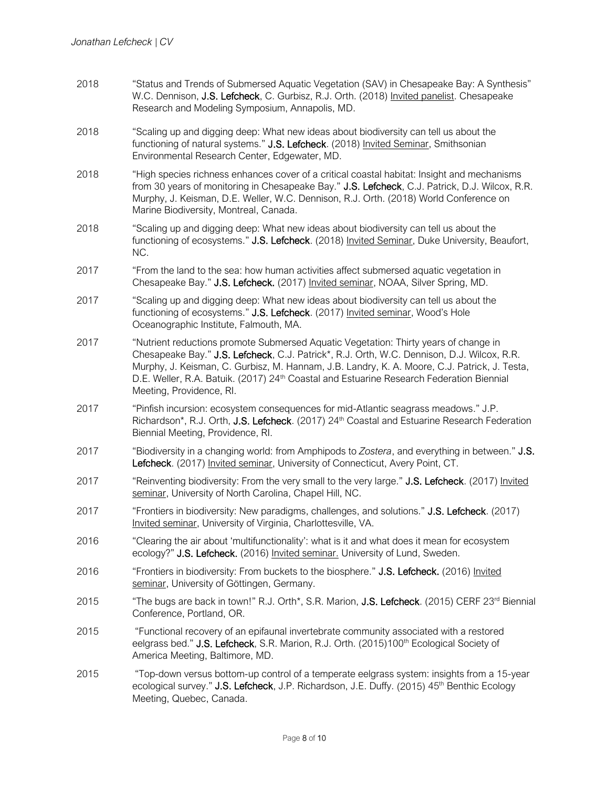- 2018 "Status and Trends of Submersed Aquatic Vegetation (SAV) in Chesapeake Bay: A Synthesis" W.C. Dennison, J.S. Lefcheck, C. Gurbisz, R.J. Orth. (2018) Invited panelist. Chesapeake Research and Modeling Symposium, Annapolis, MD.
- 2018 "Scaling up and digging deep: What new ideas about biodiversity can tell us about the functioning of natural systems." **J.S. Lefcheck**. (2018) Invited Seminar, Smithsonian Environmental Research Center, Edgewater, MD.
- 2018 "High species richness enhances cover of a critical coastal habitat: Insight and mechanisms from 30 years of monitoring in Chesapeake Bay." J.S. Lefcheck, C.J. Patrick, D.J. Wilcox, R.R. Murphy, J. Keisman, D.E. Weller, W.C. Dennison, R.J. Orth. (2018) World Conference on Marine Biodiversity, Montreal, Canada.
- 2018 "Scaling up and digging deep: What new ideas about biodiversity can tell us about the functioning of ecosystems." J.S. Lefcheck. (2018) Invited Seminar, Duke University, Beaufort, NC.
- 2017 "From the land to the sea: how human activities affect submersed aquatic vegetation in Chesapeake Bay." J.S. Lefcheck. (2017) Invited seminar, NOAA, Silver Spring, MD.
- 2017 "Scaling up and digging deep: What new ideas about biodiversity can tell us about the functioning of ecosystems." J.S. Lefcheck. (2017) Invited seminar, Wood's Hole Oceanographic Institute, Falmouth, MA.
- 2017 "Nutrient reductions promote Submersed Aquatic Vegetation: Thirty years of change in Chesapeake Bay." J.S. Lefcheck, C.J. Patrick\*, R.J. Orth, W.C. Dennison, D.J. Wilcox, R.R. Murphy, J. Keisman, C. Gurbisz, M. Hannam, J.B. Landry, K. A. Moore, C.J. Patrick, J. Testa, D.E. Weller, R.A. Batuik. (2017) 24<sup>th</sup> Coastal and Estuarine Research Federation Biennial Meeting, Providence, RI.
- 2017 "Pinfish incursion: ecosystem consequences for mid-Atlantic seagrass meadows." J.P. Richardson\*, R.J. Orth, J.S. Lefcheck. (2017) 24<sup>th</sup> Coastal and Estuarine Research Federation Biennial Meeting, Providence, RI.
- 2017 "Biodiversity in a changing world: from Amphipods to *Zostera*, and everything in between." J.S. Lefcheck. (2017) Invited seminar, University of Connecticut, Avery Point, CT.
- 2017 "Reinventing biodiversity: From the very small to the very large." J.S. Lefcheck. (2017) Invited seminar, University of North Carolina, Chapel Hill, NC.
- 2017 "Frontiers in biodiversity: New paradigms, challenges, and solutions." J.S. Lefcheck. (2017) Invited seminar, University of Virginia, Charlottesville, VA.
- 2016 "Clearing the air about 'multifunctionality': what is it and what does it mean for ecosystem ecology?" J.S. Lefcheck. (2016) Invited seminar. University of Lund, Sweden.
- 2016 "Frontiers in biodiversity: From buckets to the biosphere." J.S. Lefcheck. (2016) Invited seminar, University of Göttingen, Germany.
- 2015 "The bugs are back in town!" R.J. Orth\*, S.R. Marion, J.S. Lefcheck. (2015) CERF 23<sup>rd</sup> Biennial Conference, Portland, OR.
- 2015 "Functional recovery of an epifaunal invertebrate community associated with a restored eelgrass bed." J.S. Lefcheck, S.R. Marion, R.J. Orth. (2015)100<sup>th</sup> Ecological Society of America Meeting, Baltimore, MD.
- 2015 "Top-down versus bottom-up control of a temperate eelgrass system: insights from a 15-year ecological survey." J.S. Lefcheck, J.P. Richardson, J.E. Duffy. (2015)  $45<sup>th</sup>$  Benthic Ecology Meeting, Quebec, Canada.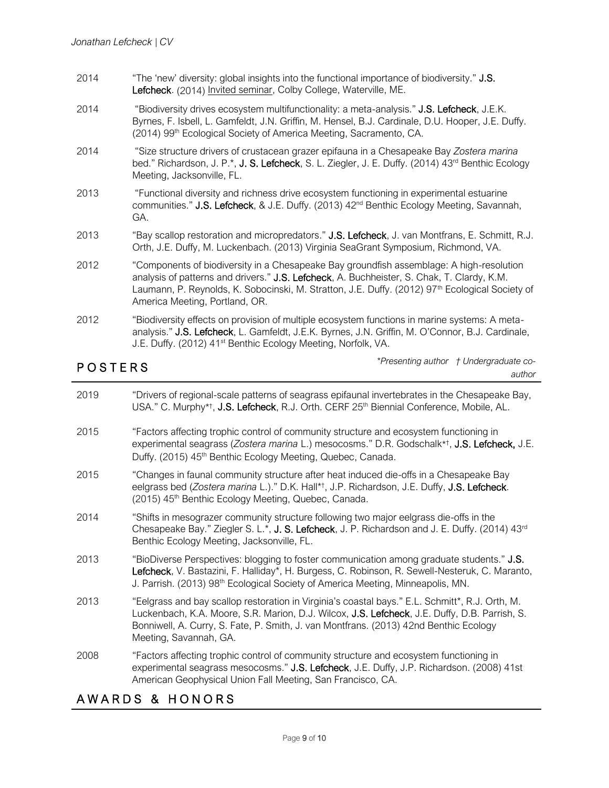- 2014 "The 'new' diversity: global insights into the functional importance of biodiversity." J.S. Lefcheck. (2014) Invited seminar, Colby College, Waterville, ME.
- 2014 "Biodiversity drives ecosystem multifunctionality: a meta-analysis." J.S. Lefcheck, J.E.K. Byrnes, F. Isbell, L. Gamfeldt, J.N. Griffin, M. Hensel, B.J. Cardinale, D.U. Hooper, J.E. Duffy. (2014) 99<sup>th</sup> Ecological Society of America Meeting, Sacramento, CA.
- 2014 "Size structure drivers of crustacean grazer epifauna in a Chesapeake Bay *Zostera marina*  bed." Richardson, J. P.\*, J. S. Lefcheck, S. L. Ziegler, J. E. Duffy. (2014) 43<sup>rd</sup> Benthic Ecology Meeting, Jacksonville, FL.
- 2013 "Functional diversity and richness drive ecosystem functioning in experimental estuarine communities." J.S. Lefcheck, & J.E. Duffy. (2013) 42<sup>nd</sup> Benthic Ecology Meeting, Savannah, GA.
- 2013 "Bay scallop restoration and micropredators." J.S. Lefcheck, J. van Montfrans, E. Schmitt, R.J. Orth, J.E. Duffy, M. Luckenbach. (2013) Virginia SeaGrant Symposium, Richmond, VA.
- 2012 "Components of biodiversity in a Chesapeake Bay groundfish assemblage: A high-resolution analysis of patterns and drivers." J.S. Lefcheck, A. Buchheister, S. Chak, T. Clardy, K.M. Laumann, P. Reynolds, K. Sobocinski, M. Stratton, J.E. Duffy. (2012) 97<sup>th</sup> Ecological Society of America Meeting, Portland, OR.
- 2012 "Biodiversity effects on provision of multiple ecosystem functions in marine systems: A metaanalysis." J.S. Lefcheck, L. Gamfeldt, J.E.K. Byrnes, J.N. Griffin, M. O'Connor, B.J. Cardinale, J.E. Duffy. (2012) 41<sup>st</sup> Benthic Ecology Meeting, Norfolk, VA.

# **POSTERS**

*\*Presenting author † Undergraduate coauthor*

2019 "Drivers of regional-scale patterns of seagrass epifaunal invertebrates in the Chesapeake Bay, USA." C. Murphy\*<sup>†</sup>, J.S. Lefcheck, R.J. Orth. CERF 25<sup>th</sup> Biennial Conference, Mobile, AL. 2015 "Factors affecting trophic control of community structure and ecosystem functioning in experimental seagrass (*Zostera marina* L.) mesocosms." D.R. Godschalk\* † , J.S. Lefcheck, J.E. Duffy. (2015) 45<sup>th</sup> Benthic Ecology Meeting, Quebec, Canada. 2015 "Changes in faunal community structure after heat induced die-offs in a Chesapeake Bay eelgrass bed (*Zostera marina* L.)." D.K. Hall\*† , J.P. Richardson, J.E. Duffy, J.S. Lefcheck. (2015) 45<sup>th</sup> Benthic Ecology Meeting, Quebec, Canada. 2014 "Shifts in mesograzer community structure following two major eelgrass die-offs in the Chesapeake Bay." Ziegler S. L.\*, J. S. Lefcheck, J. P. Richardson and J. E. Duffy. (2014) 43<sup>rd</sup> Benthic Ecology Meeting, Jacksonville, FL. 2013 "BioDiverse Perspectives: blogging to foster communication among graduate students." J.S. Lefcheck, V. Bastazini, F. Halliday\*, H. Burgess, C. Robinson, R. Sewell-Nesteruk, C. Maranto, J. Parrish. (2013) 98th Ecological Society of America Meeting, Minneapolis, MN. 2013 "Eelgrass and bay scallop restoration in Virginia's coastal bays." E.L. Schmitt\*, R.J. Orth, M. Luckenbach, K.A. Moore, S.R. Marion, D.J. Wilcox, J.S. Lefcheck, J.E. Duffy, D.B. Parrish, S. Bonniwell, A. Curry, S. Fate, P. Smith, J. van Montfrans. (2013) 42nd Benthic Ecology Meeting, Savannah, GA. 2008 "Factors affecting trophic control of community structure and ecosystem functioning in experimental seagrass mesocosms." J.S. Lefcheck, J.E. Duffy, J.P. Richardson. (2008) 41st American Geophysical Union Fall Meeting, San Francisco, CA.

# AWARDS & HONORS